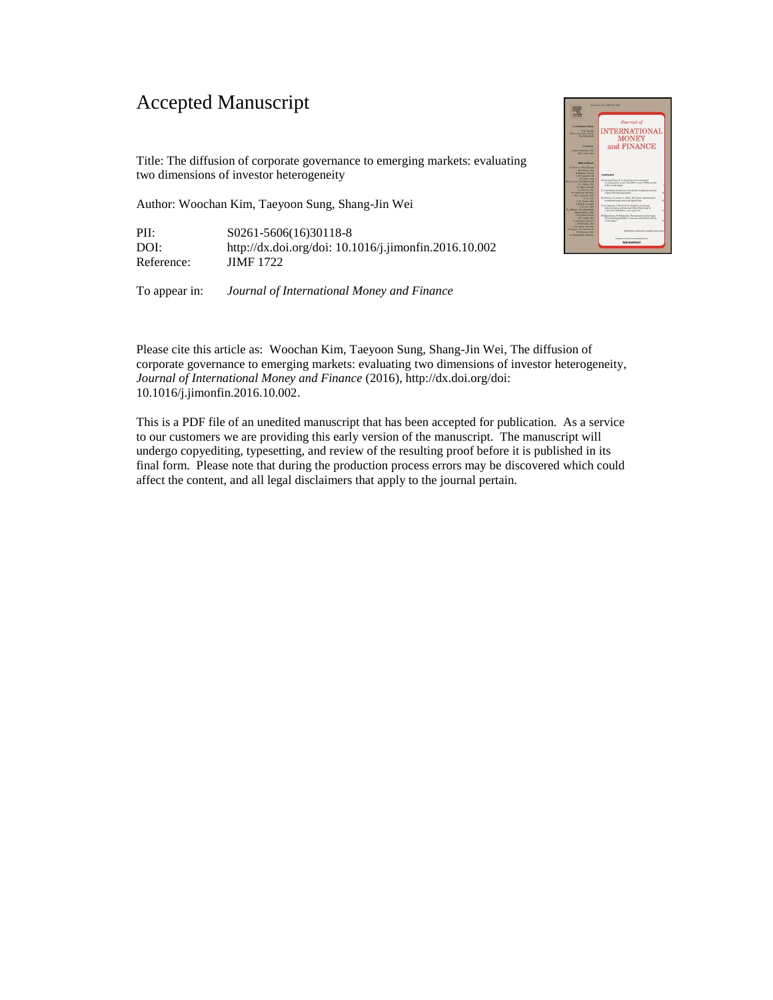## Accepted Manuscript

Title: The diffusion of corporate governance to emerging markets: evaluating two dimensions of investor heterogeneity

Author: Woochan Kim, Taeyoon Sung, Shang-Jin Wei

PII: S0261-5606(16)30118-8 DOI: http://dx.doi.org/doi: 10.1016/j.jimonfin.2016.10.002 Reference: **JIMF 1722** 

To appear in: *Journal of International Money and Finance* 



Please cite this article as: Woochan Kim, Taeyoon Sung, Shang-Jin Wei, The diffusion of corporate governance to emerging markets: evaluating two dimensions of investor heterogeneity, *Journal of International Money and Finance* (2016), http://dx.doi.org/doi: 10.1016/j.jimonfin.2016.10.002.

This is a PDF file of an unedited manuscript that has been accepted for publication. As a service to our customers we are providing this early version of the manuscript. The manuscript will undergo copyediting, typesetting, and review of the resulting proof before it is published in its final form. Please note that during the production process errors may be discovered which could affect the content, and all legal disclaimers that apply to the journal pertain.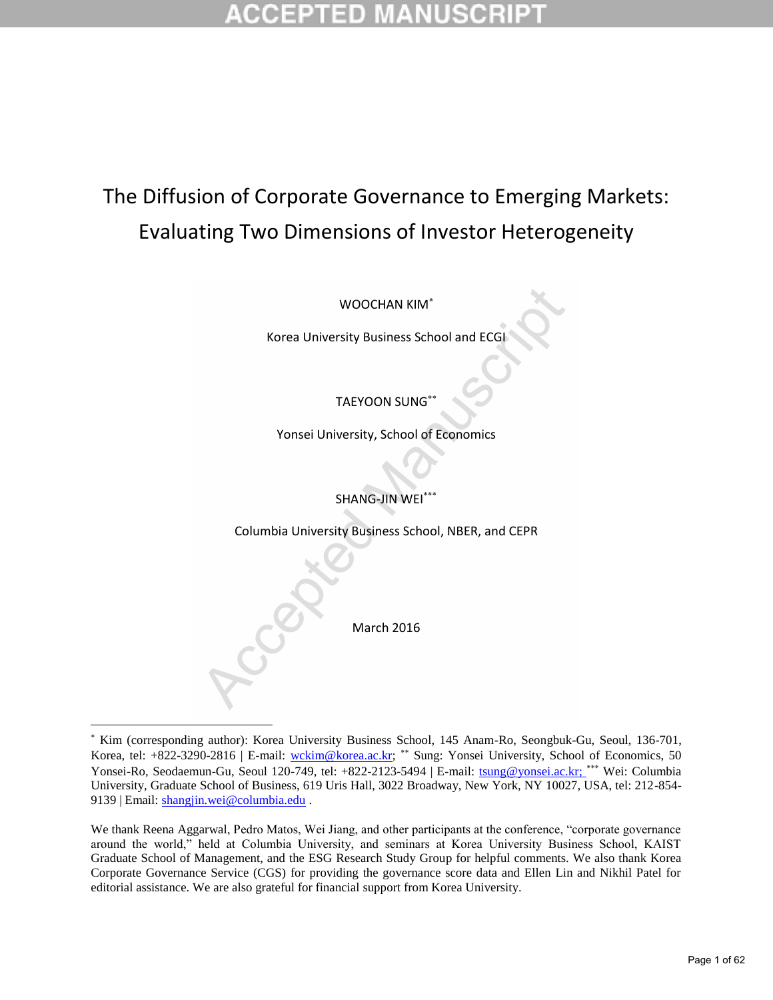## The Diffusion of Corporate Governance to Emerging Markets: Evaluating Two Dimensions of Investor Heterogeneity

WOOCHAN KIM

Korea University Business School and ECGI

TAEYOON SUNG

Yonsei University, School of Economics

SHANG-JIN WEI

Columbia University Business School, NBER, and CEPR

March 2016

 $\overline{a}$ 

 Kim (corresponding author): Korea University Business School, 145 Anam-Ro, Seongbuk-Gu, Seoul, 136-701, Korea, tel: +822-3290-2816 | E-mail: [wckim@korea.ac.kr;](mailto:wckim@korea.ac.kr) \*\* Sung: Yonsei University, School of Economics, 50 Yonsei-Ro, Seodaemun-Gu, Seoul 120-749, tel: +822-2123-5494 | E-mail: [tsung@yonsei.ac.kr;](mailto:tsung@yonsei.ac.kr) \*\*\* Wei: Columbia University, Graduate School of Business, 619 Uris Hall, 3022 Broadway, New York, NY 10027, USA, tel: 212-854- 9139 | Email: [shangjin.wei@columbia.edu .](mailto:shangjin.wei@columbia.edu)

We thank Reena Aggarwal, Pedro Matos, Wei Jiang, and other participants at the conference, "corporate governance around the world," held at Columbia University, and seminars at Korea University Business School, KAIST Graduate School of Management, and the ESG Research Study Group for helpful comments. We also thank Korea Corporate Governance Service (CGS) for providing the governance score data and Ellen Lin and Nikhil Patel for editorial assistance. We are also grateful for financial support from Korea University.